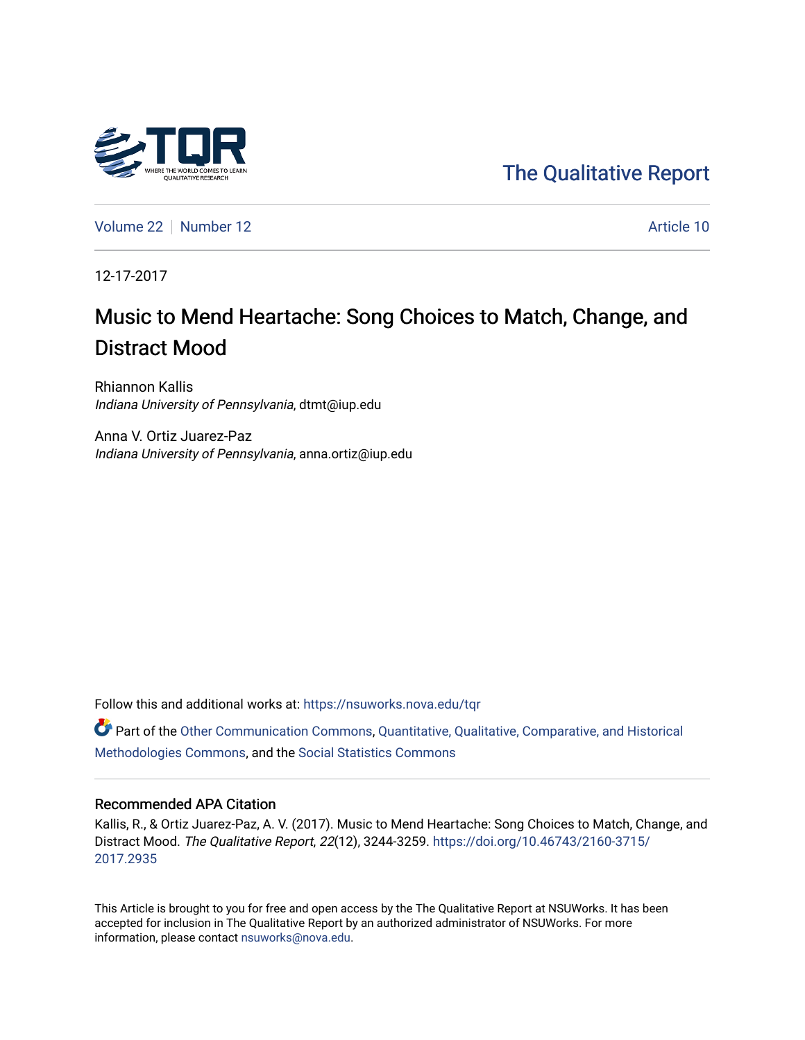

[Volume 22](https://nsuworks.nova.edu/tqr/vol22) [Number 12](https://nsuworks.nova.edu/tqr/vol22/iss12) Article 10

12-17-2017

# Music to Mend Heartache: Song Choices to Match, Change, and Distract Mood

Rhiannon Kallis Indiana University of Pennsylvania, dtmt@iup.edu

Anna V. Ortiz Juarez-Paz Indiana University of Pennsylvania, anna.ortiz@iup.edu

Follow this and additional works at: [https://nsuworks.nova.edu/tqr](https://nsuworks.nova.edu/tqr?utm_source=nsuworks.nova.edu%2Ftqr%2Fvol22%2Fiss12%2F10&utm_medium=PDF&utm_campaign=PDFCoverPages) 

Part of the [Other Communication Commons](http://network.bepress.com/hgg/discipline/339?utm_source=nsuworks.nova.edu%2Ftqr%2Fvol22%2Fiss12%2F10&utm_medium=PDF&utm_campaign=PDFCoverPages), Quantitative, Qualitative, Comparative, and Historical [Methodologies Commons](http://network.bepress.com/hgg/discipline/423?utm_source=nsuworks.nova.edu%2Ftqr%2Fvol22%2Fiss12%2F10&utm_medium=PDF&utm_campaign=PDFCoverPages), and the [Social Statistics Commons](http://network.bepress.com/hgg/discipline/1275?utm_source=nsuworks.nova.edu%2Ftqr%2Fvol22%2Fiss12%2F10&utm_medium=PDF&utm_campaign=PDFCoverPages) 

#### Recommended APA Citation

Kallis, R., & Ortiz Juarez-Paz, A. V. (2017). Music to Mend Heartache: Song Choices to Match, Change, and Distract Mood. The Qualitative Report, 22(12), 3244-3259. [https://doi.org/10.46743/2160-3715/](https://doi.org/10.46743/2160-3715/2017.2935) [2017.2935](https://doi.org/10.46743/2160-3715/2017.2935) 

This Article is brought to you for free and open access by the The Qualitative Report at NSUWorks. It has been accepted for inclusion in The Qualitative Report by an authorized administrator of NSUWorks. For more information, please contact [nsuworks@nova.edu.](mailto:nsuworks@nova.edu)

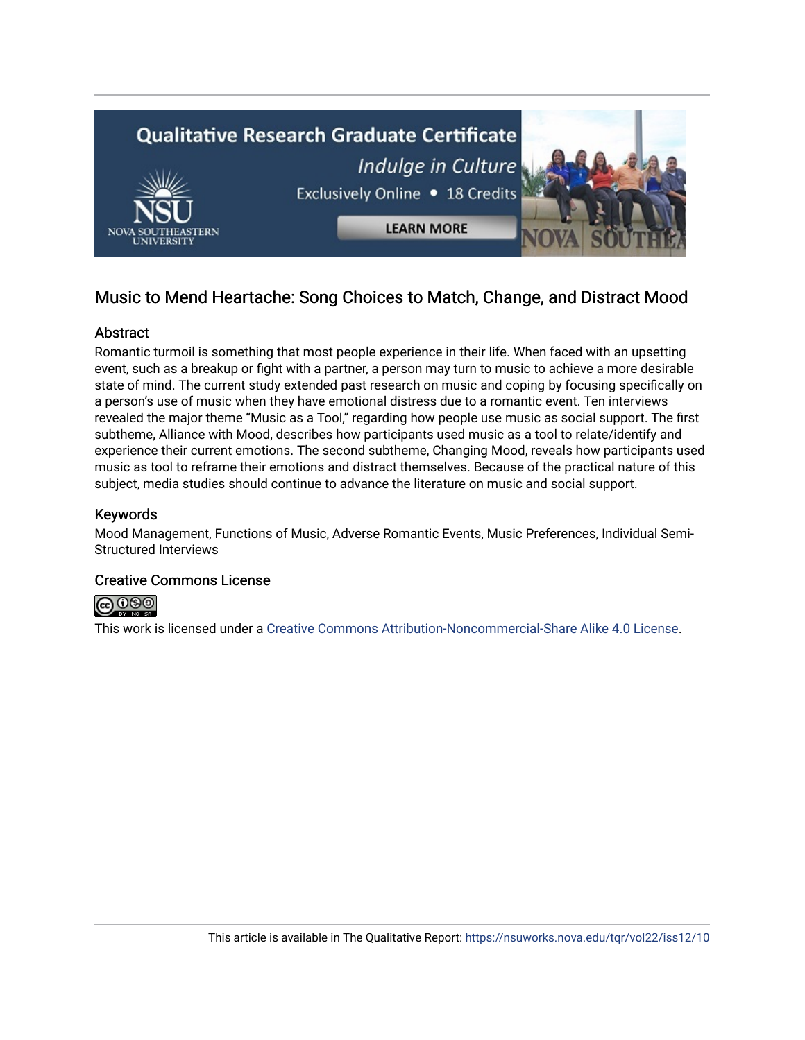

# Music to Mend Heartache: Song Choices to Match, Change, and Distract Mood

## **Abstract**

Romantic turmoil is something that most people experience in their life. When faced with an upsetting event, such as a breakup or fight with a partner, a person may turn to music to achieve a more desirable state of mind. The current study extended past research on music and coping by focusing specifically on a person's use of music when they have emotional distress due to a romantic event. Ten interviews revealed the major theme "Music as a Tool," regarding how people use music as social support. The first subtheme, Alliance with Mood, describes how participants used music as a tool to relate/identify and experience their current emotions. The second subtheme, Changing Mood, reveals how participants used music as tool to reframe their emotions and distract themselves. Because of the practical nature of this subject, media studies should continue to advance the literature on music and social support.

# Keywords

Mood Management, Functions of Music, Adverse Romantic Events, Music Preferences, Individual Semi-Structured Interviews

### Creative Commons License



This work is licensed under a [Creative Commons Attribution-Noncommercial-Share Alike 4.0 License](https://creativecommons.org/licenses/by-nc-sa/4.0/).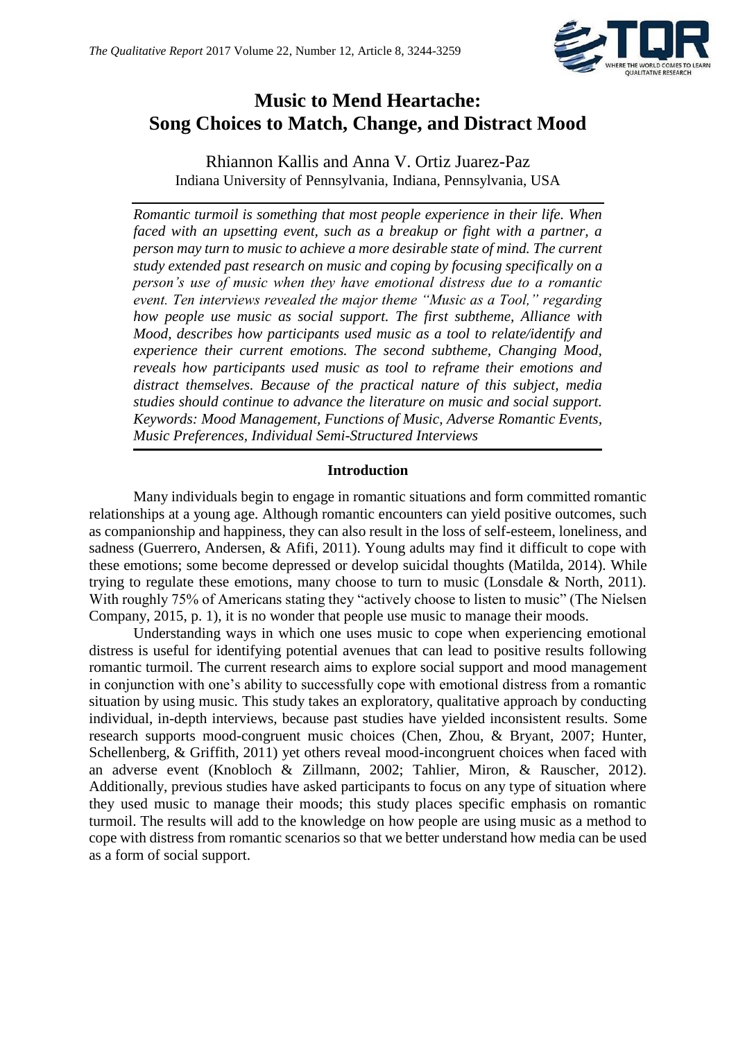

# **Music to Mend Heartache: Song Choices to Match, Change, and Distract Mood**

Rhiannon Kallis and Anna V. Ortiz Juarez-Paz Indiana University of Pennsylvania, Indiana, Pennsylvania, USA

*Romantic turmoil is something that most people experience in their life. When faced with an upsetting event, such as a breakup or fight with a partner, a person may turn to music to achieve a more desirable state of mind. The current study extended past research on music and coping by focusing specifically on a person's use of music when they have emotional distress due to a romantic event. Ten interviews revealed the major theme "Music as a Tool," regarding how people use music as social support. The first subtheme, Alliance with Mood, describes how participants used music as a tool to relate/identify and experience their current emotions. The second subtheme, Changing Mood, reveals how participants used music as tool to reframe their emotions and distract themselves. Because of the practical nature of this subject, media studies should continue to advance the literature on music and social support. Keywords: Mood Management, Functions of Music, Adverse Romantic Events, Music Preferences, Individual Semi-Structured Interviews*

### **Introduction**

Many individuals begin to engage in romantic situations and form committed romantic relationships at a young age. Although romantic encounters can yield positive outcomes, such as companionship and happiness, they can also result in the loss of self-esteem, loneliness, and sadness (Guerrero, Andersen, & Afifi, 2011). Young adults may find it difficult to cope with these emotions; some become depressed or develop suicidal thoughts (Matilda, 2014). While trying to regulate these emotions, many choose to turn to music (Lonsdale & North, 2011). With roughly 75% of Americans stating they "actively choose to listen to music" (The Nielsen Company, 2015, p. 1), it is no wonder that people use music to manage their moods.

Understanding ways in which one uses music to cope when experiencing emotional distress is useful for identifying potential avenues that can lead to positive results following romantic turmoil. The current research aims to explore social support and mood management in conjunction with one's ability to successfully cope with emotional distress from a romantic situation by using music. This study takes an exploratory, qualitative approach by conducting individual, in-depth interviews, because past studies have yielded inconsistent results. Some research supports mood-congruent music choices (Chen, Zhou, & Bryant, 2007; Hunter, Schellenberg, & Griffith, 2011) yet others reveal mood-incongruent choices when faced with an adverse event (Knobloch & Zillmann, 2002; Tahlier, Miron, & Rauscher, 2012). Additionally, previous studies have asked participants to focus on any type of situation where they used music to manage their moods; this study places specific emphasis on romantic turmoil. The results will add to the knowledge on how people are using music as a method to cope with distress from romantic scenarios so that we better understand how media can be used as a form of social support.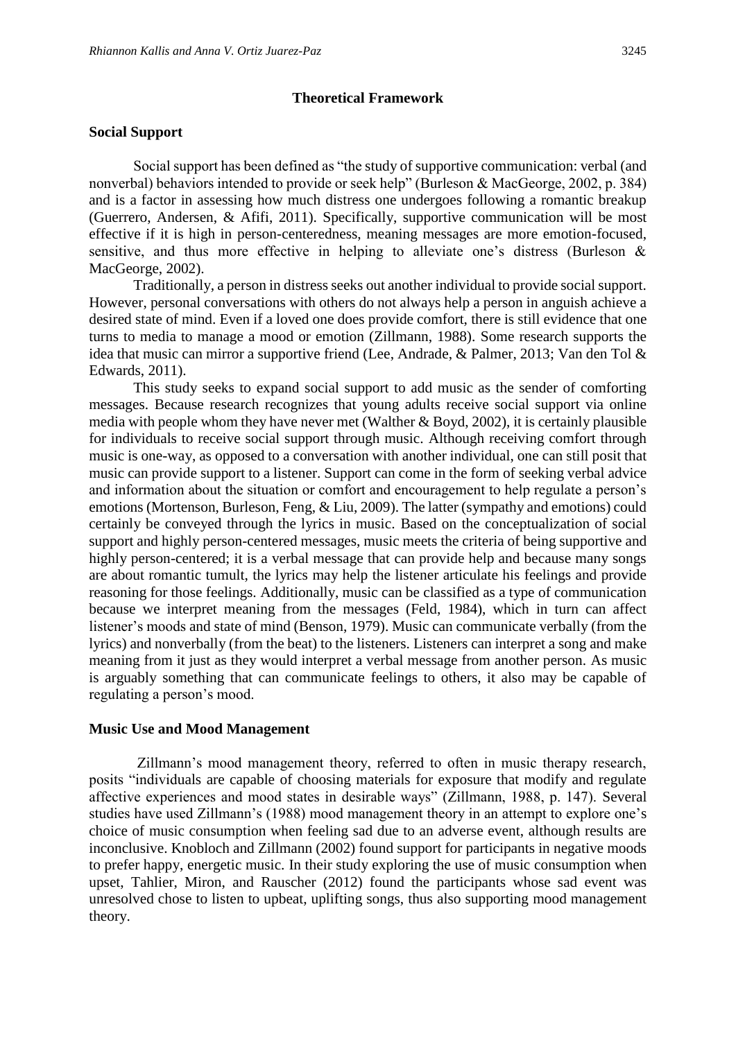#### **Theoretical Framework**

#### **Social Support**

Social support has been defined as "the study of supportive communication: verbal (and nonverbal) behaviors intended to provide or seek help" (Burleson & MacGeorge, 2002, p. 384) and is a factor in assessing how much distress one undergoes following a romantic breakup (Guerrero, Andersen, & Afifi, 2011). Specifically, supportive communication will be most effective if it is high in person-centeredness, meaning messages are more emotion-focused, sensitive, and thus more effective in helping to alleviate one's distress (Burleson & MacGeorge, 2002).

Traditionally, a person in distress seeks out another individual to provide social support. However, personal conversations with others do not always help a person in anguish achieve a desired state of mind. Even if a loved one does provide comfort, there is still evidence that one turns to media to manage a mood or emotion (Zillmann, 1988). Some research supports the idea that music can mirror a supportive friend (Lee, Andrade, & Palmer, 2013; Van den Tol & Edwards, 2011).

This study seeks to expand social support to add music as the sender of comforting messages. Because research recognizes that young adults receive social support via online media with people whom they have never met (Walther & Boyd, 2002), it is certainly plausible for individuals to receive social support through music. Although receiving comfort through music is one-way, as opposed to a conversation with another individual, one can still posit that music can provide support to a listener. Support can come in the form of seeking verbal advice and information about the situation or comfort and encouragement to help regulate a person's emotions (Mortenson, Burleson, Feng, & Liu, 2009). The latter (sympathy and emotions) could certainly be conveyed through the lyrics in music. Based on the conceptualization of social support and highly person-centered messages, music meets the criteria of being supportive and highly person-centered; it is a verbal message that can provide help and because many songs are about romantic tumult, the lyrics may help the listener articulate his feelings and provide reasoning for those feelings. Additionally, music can be classified as a type of communication because we interpret meaning from the messages (Feld, 1984), which in turn can affect listener's moods and state of mind (Benson, 1979). Music can communicate verbally (from the lyrics) and nonverbally (from the beat) to the listeners. Listeners can interpret a song and make meaning from it just as they would interpret a verbal message from another person. As music is arguably something that can communicate feelings to others, it also may be capable of regulating a person's mood.

#### **Music Use and Mood Management**

Zillmann's mood management theory, referred to often in music therapy research, posits "individuals are capable of choosing materials for exposure that modify and regulate affective experiences and mood states in desirable ways" (Zillmann, 1988, p. 147). Several studies have used Zillmann's (1988) mood management theory in an attempt to explore one's choice of music consumption when feeling sad due to an adverse event, although results are inconclusive. Knobloch and Zillmann (2002) found support for participants in negative moods to prefer happy, energetic music. In their study exploring the use of music consumption when upset, Tahlier, Miron, and Rauscher (2012) found the participants whose sad event was unresolved chose to listen to upbeat, uplifting songs, thus also supporting mood management theory.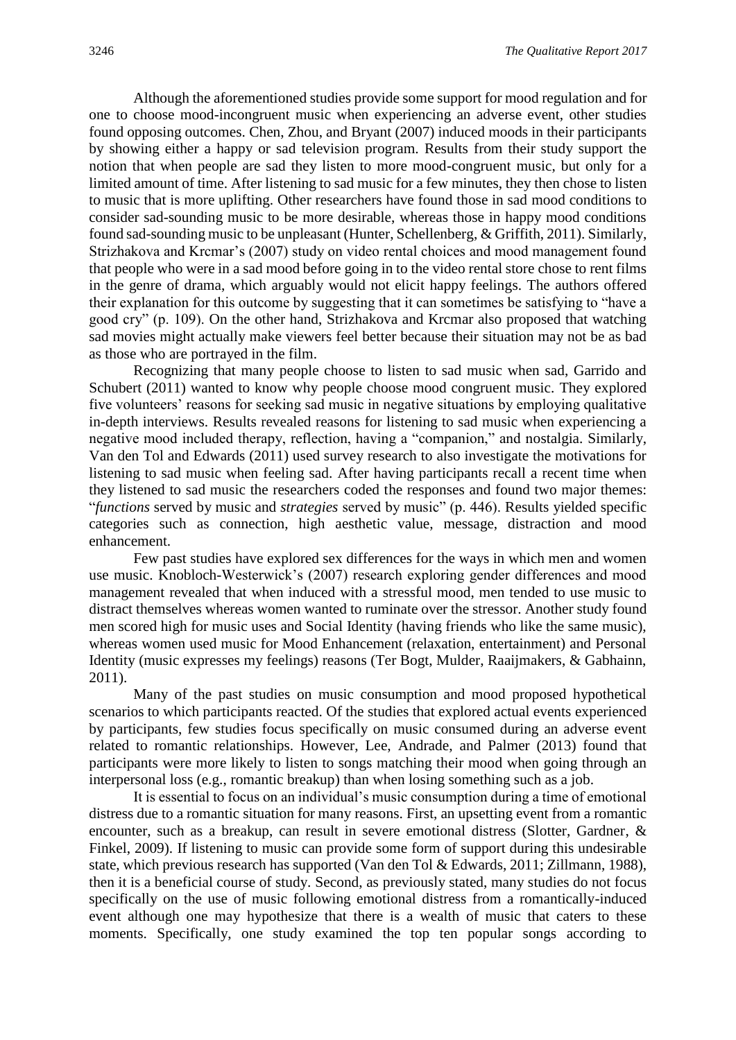Although the aforementioned studies provide some support for mood regulation and for one to choose mood-incongruent music when experiencing an adverse event, other studies found opposing outcomes. Chen, Zhou, and Bryant (2007) induced moods in their participants by showing either a happy or sad television program. Results from their study support the notion that when people are sad they listen to more mood-congruent music, but only for a limited amount of time. After listening to sad music for a few minutes, they then chose to listen to music that is more uplifting. Other researchers have found those in sad mood conditions to consider sad-sounding music to be more desirable, whereas those in happy mood conditions found sad-sounding music to be unpleasant (Hunter, Schellenberg, & Griffith, 2011). Similarly, Strizhakova and Krcmar's (2007) study on video rental choices and mood management found that people who were in a sad mood before going in to the video rental store chose to rent films in the genre of drama, which arguably would not elicit happy feelings. The authors offered their explanation for this outcome by suggesting that it can sometimes be satisfying to "have a good cry" (p. 109). On the other hand, Strizhakova and Krcmar also proposed that watching sad movies might actually make viewers feel better because their situation may not be as bad as those who are portrayed in the film.

Recognizing that many people choose to listen to sad music when sad, Garrido and Schubert (2011) wanted to know why people choose mood congruent music. They explored five volunteers' reasons for seeking sad music in negative situations by employing qualitative in-depth interviews. Results revealed reasons for listening to sad music when experiencing a negative mood included therapy, reflection, having a "companion," and nostalgia. Similarly, Van den Tol and Edwards (2011) used survey research to also investigate the motivations for listening to sad music when feeling sad. After having participants recall a recent time when they listened to sad music the researchers coded the responses and found two major themes: "*functions* served by music and *strategies* served by music" (p. 446). Results yielded specific categories such as connection, high aesthetic value, message, distraction and mood enhancement.

Few past studies have explored sex differences for the ways in which men and women use music. Knobloch-Westerwick's (2007) research exploring gender differences and mood management revealed that when induced with a stressful mood, men tended to use music to distract themselves whereas women wanted to ruminate over the stressor. Another study found men scored high for music uses and Social Identity (having friends who like the same music), whereas women used music for Mood Enhancement (relaxation, entertainment) and Personal Identity (music expresses my feelings) reasons (Ter Bogt, Mulder, Raaijmakers, & Gabhainn, 2011).

Many of the past studies on music consumption and mood proposed hypothetical scenarios to which participants reacted. Of the studies that explored actual events experienced by participants, few studies focus specifically on music consumed during an adverse event related to romantic relationships. However, Lee, Andrade, and Palmer (2013) found that participants were more likely to listen to songs matching their mood when going through an interpersonal loss (e.g., romantic breakup) than when losing something such as a job.

It is essential to focus on an individual's music consumption during a time of emotional distress due to a romantic situation for many reasons. First, an upsetting event from a romantic encounter, such as a breakup, can result in severe emotional distress (Slotter, Gardner, & Finkel, 2009). If listening to music can provide some form of support during this undesirable state, which previous research has supported (Van den Tol & Edwards, 2011; Zillmann, 1988), then it is a beneficial course of study. Second, as previously stated, many studies do not focus specifically on the use of music following emotional distress from a romantically-induced event although one may hypothesize that there is a wealth of music that caters to these moments. Specifically, one study examined the top ten popular songs according to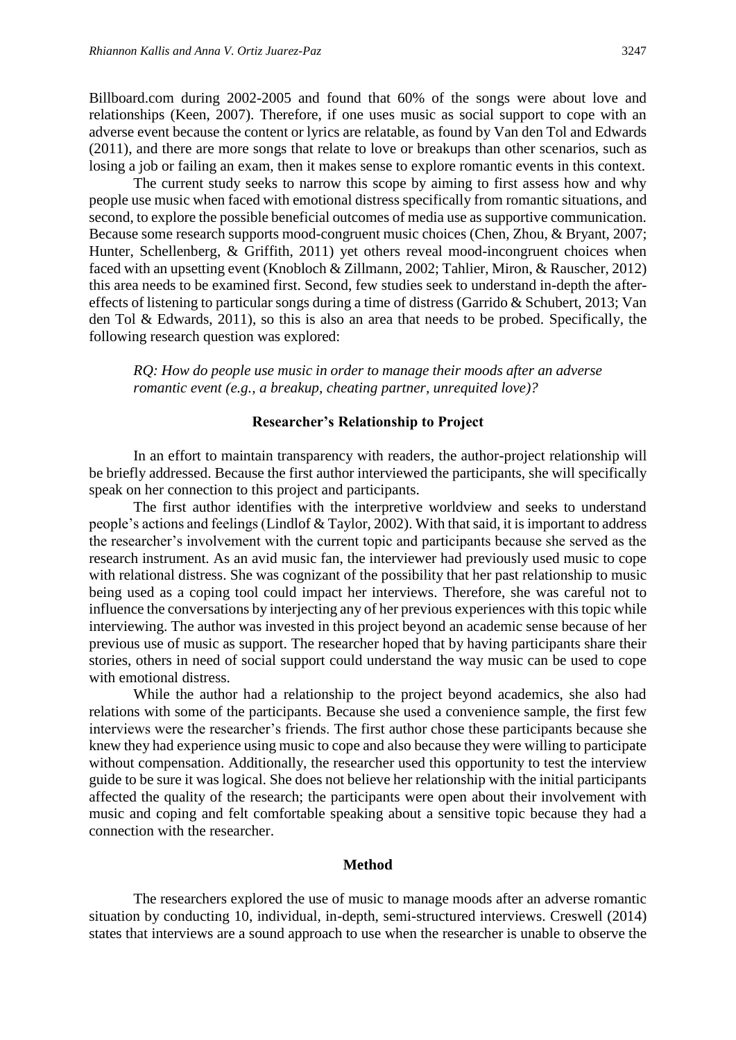Billboard.com during 2002-2005 and found that 60% of the songs were about love and relationships (Keen, 2007). Therefore, if one uses music as social support to cope with an adverse event because the content or lyrics are relatable, as found by Van den Tol and Edwards (2011), and there are more songs that relate to love or breakups than other scenarios, such as losing a job or failing an exam, then it makes sense to explore romantic events in this context.

The current study seeks to narrow this scope by aiming to first assess how and why people use music when faced with emotional distress specifically from romantic situations, and second, to explore the possible beneficial outcomes of media use as supportive communication. Because some research supports mood-congruent music choices (Chen, Zhou, & Bryant, 2007; Hunter, Schellenberg, & Griffith, 2011) yet others reveal mood-incongruent choices when faced with an upsetting event (Knobloch & Zillmann, 2002; Tahlier, Miron, & Rauscher, 2012) this area needs to be examined first. Second, few studies seek to understand in-depth the aftereffects of listening to particular songs during a time of distress (Garrido & Schubert, 2013; Van den Tol & Edwards, 2011), so this is also an area that needs to be probed. Specifically, the following research question was explored:

*RQ: How do people use music in order to manage their moods after an adverse romantic event (e.g., a breakup, cheating partner, unrequited love)?*

#### **Researcher's Relationship to Project**

In an effort to maintain transparency with readers, the author-project relationship will be briefly addressed. Because the first author interviewed the participants, she will specifically speak on her connection to this project and participants.

The first author identifies with the interpretive worldview and seeks to understand people's actions and feelings (Lindlof & Taylor, 2002). With that said, it is important to address the researcher's involvement with the current topic and participants because she served as the research instrument. As an avid music fan, the interviewer had previously used music to cope with relational distress. She was cognizant of the possibility that her past relationship to music being used as a coping tool could impact her interviews. Therefore, she was careful not to influence the conversations by interjecting any of her previous experiences with this topic while interviewing. The author was invested in this project beyond an academic sense because of her previous use of music as support. The researcher hoped that by having participants share their stories, others in need of social support could understand the way music can be used to cope with emotional distress.

While the author had a relationship to the project beyond academics, she also had relations with some of the participants. Because she used a convenience sample, the first few interviews were the researcher's friends. The first author chose these participants because she knew they had experience using music to cope and also because they were willing to participate without compensation. Additionally, the researcher used this opportunity to test the interview guide to be sure it was logical. She does not believe her relationship with the initial participants affected the quality of the research; the participants were open about their involvement with music and coping and felt comfortable speaking about a sensitive topic because they had a connection with the researcher.

#### **Method**

The researchers explored the use of music to manage moods after an adverse romantic situation by conducting 10, individual, in-depth, semi-structured interviews. Creswell (2014) states that interviews are a sound approach to use when the researcher is unable to observe the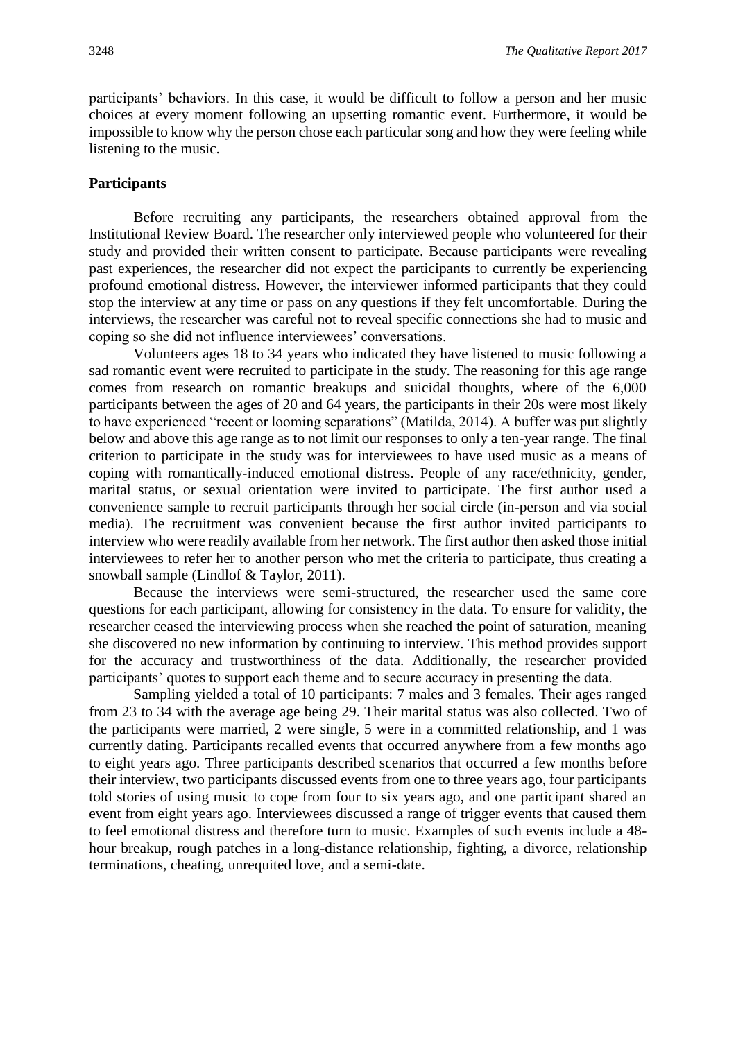participants' behaviors. In this case, it would be difficult to follow a person and her music choices at every moment following an upsetting romantic event. Furthermore, it would be impossible to know why the person chose each particular song and how they were feeling while listening to the music.

#### **Participants**

Before recruiting any participants, the researchers obtained approval from the Institutional Review Board. The researcher only interviewed people who volunteered for their study and provided their written consent to participate. Because participants were revealing past experiences, the researcher did not expect the participants to currently be experiencing profound emotional distress. However, the interviewer informed participants that they could stop the interview at any time or pass on any questions if they felt uncomfortable. During the interviews, the researcher was careful not to reveal specific connections she had to music and coping so she did not influence interviewees' conversations.

Volunteers ages 18 to 34 years who indicated they have listened to music following a sad romantic event were recruited to participate in the study. The reasoning for this age range comes from research on romantic breakups and suicidal thoughts, where of the 6,000 participants between the ages of 20 and 64 years, the participants in their 20s were most likely to have experienced "recent or looming separations" (Matilda, 2014). A buffer was put slightly below and above this age range as to not limit our responses to only a ten-year range. The final criterion to participate in the study was for interviewees to have used music as a means of coping with romantically-induced emotional distress. People of any race/ethnicity, gender, marital status, or sexual orientation were invited to participate. The first author used a convenience sample to recruit participants through her social circle (in-person and via social media). The recruitment was convenient because the first author invited participants to interview who were readily available from her network. The first author then asked those initial interviewees to refer her to another person who met the criteria to participate, thus creating a snowball sample (Lindlof & Taylor, 2011).

Because the interviews were semi-structured, the researcher used the same core questions for each participant, allowing for consistency in the data. To ensure for validity, the researcher ceased the interviewing process when she reached the point of saturation, meaning she discovered no new information by continuing to interview. This method provides support for the accuracy and trustworthiness of the data. Additionally, the researcher provided participants' quotes to support each theme and to secure accuracy in presenting the data.

Sampling yielded a total of 10 participants: 7 males and 3 females. Their ages ranged from 23 to 34 with the average age being 29. Their marital status was also collected. Two of the participants were married, 2 were single, 5 were in a committed relationship, and 1 was currently dating. Participants recalled events that occurred anywhere from a few months ago to eight years ago. Three participants described scenarios that occurred a few months before their interview, two participants discussed events from one to three years ago, four participants told stories of using music to cope from four to six years ago, and one participant shared an event from eight years ago. Interviewees discussed a range of trigger events that caused them to feel emotional distress and therefore turn to music. Examples of such events include a 48 hour breakup, rough patches in a long-distance relationship, fighting, a divorce, relationship terminations, cheating, unrequited love, and a semi-date.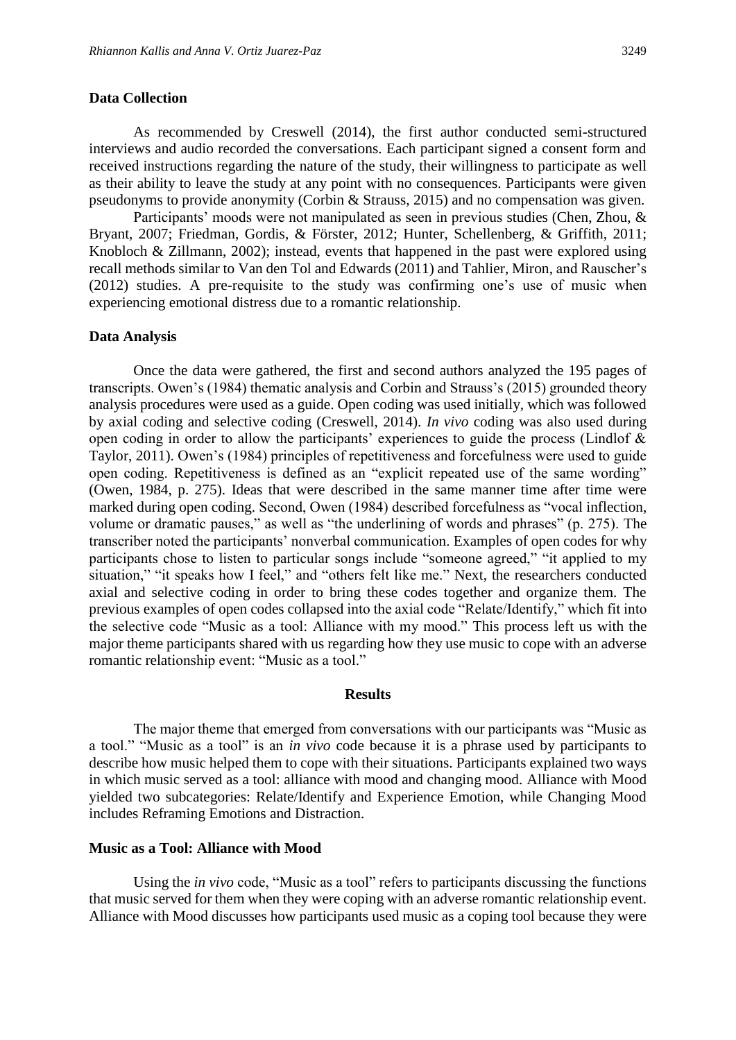#### **Data Collection**

As recommended by Creswell (2014), the first author conducted semi-structured interviews and audio recorded the conversations. Each participant signed a consent form and received instructions regarding the nature of the study, their willingness to participate as well as their ability to leave the study at any point with no consequences. Participants were given pseudonyms to provide anonymity (Corbin & Strauss, 2015) and no compensation was given.

Participants' moods were not manipulated as seen in previous studies (Chen, Zhou, & Bryant, 2007; Friedman, Gordis, & Förster, 2012; Hunter, Schellenberg, & Griffith, 2011; Knobloch & Zillmann, 2002); instead, events that happened in the past were explored using recall methods similar to Van den Tol and Edwards (2011) and Tahlier, Miron, and Rauscher's (2012) studies. A pre-requisite to the study was confirming one's use of music when experiencing emotional distress due to a romantic relationship.

#### **Data Analysis**

Once the data were gathered, the first and second authors analyzed the 195 pages of transcripts. Owen's (1984) thematic analysis and Corbin and Strauss's (2015) grounded theory analysis procedures were used as a guide. Open coding was used initially, which was followed by axial coding and selective coding (Creswell, 2014). *In vivo* coding was also used during open coding in order to allow the participants' experiences to guide the process (Lindlof & Taylor, 2011). Owen's (1984) principles of repetitiveness and forcefulness were used to guide open coding. Repetitiveness is defined as an "explicit repeated use of the same wording" (Owen, 1984, p. 275). Ideas that were described in the same manner time after time were marked during open coding. Second, Owen (1984) described forcefulness as "vocal inflection, volume or dramatic pauses," as well as "the underlining of words and phrases" (p. 275). The transcriber noted the participants' nonverbal communication. Examples of open codes for why participants chose to listen to particular songs include "someone agreed," "it applied to my situation," "it speaks how I feel," and "others felt like me." Next, the researchers conducted axial and selective coding in order to bring these codes together and organize them. The previous examples of open codes collapsed into the axial code "Relate/Identify," which fit into the selective code "Music as a tool: Alliance with my mood." This process left us with the major theme participants shared with us regarding how they use music to cope with an adverse romantic relationship event: "Music as a tool."

#### **Results**

The major theme that emerged from conversations with our participants was "Music as a tool." "Music as a tool" is an *in vivo* code because it is a phrase used by participants to describe how music helped them to cope with their situations. Participants explained two ways in which music served as a tool: alliance with mood and changing mood. Alliance with Mood yielded two subcategories: Relate/Identify and Experience Emotion, while Changing Mood includes Reframing Emotions and Distraction.

#### **Music as a Tool: Alliance with Mood**

Using the *in vivo* code, "Music as a tool" refers to participants discussing the functions that music served for them when they were coping with an adverse romantic relationship event. Alliance with Mood discusses how participants used music as a coping tool because they were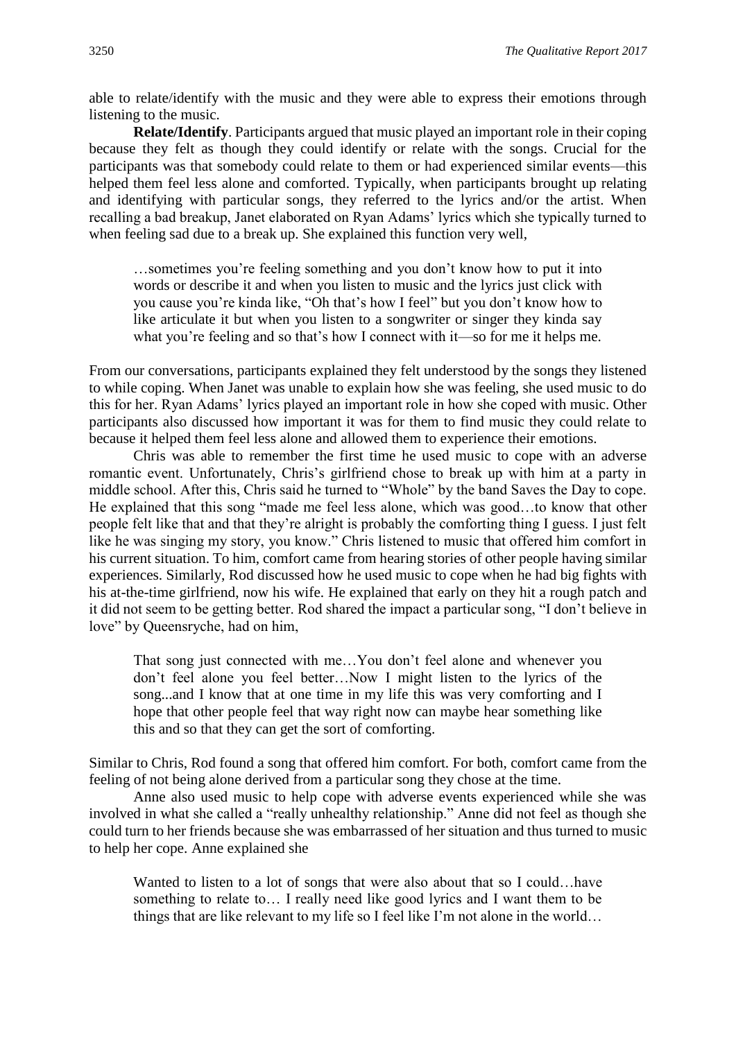able to relate/identify with the music and they were able to express their emotions through listening to the music.

**Relate/Identify**. Participants argued that music played an important role in their coping because they felt as though they could identify or relate with the songs. Crucial for the participants was that somebody could relate to them or had experienced similar events—this helped them feel less alone and comforted. Typically, when participants brought up relating and identifying with particular songs, they referred to the lyrics and/or the artist. When recalling a bad breakup, Janet elaborated on Ryan Adams' lyrics which she typically turned to when feeling sad due to a break up. She explained this function very well,

…sometimes you're feeling something and you don't know how to put it into words or describe it and when you listen to music and the lyrics just click with you cause you're kinda like, "Oh that's how I feel" but you don't know how to like articulate it but when you listen to a songwriter or singer they kinda say what you're feeling and so that's how I connect with it—so for me it helps me.

From our conversations, participants explained they felt understood by the songs they listened to while coping. When Janet was unable to explain how she was feeling, she used music to do this for her. Ryan Adams' lyrics played an important role in how she coped with music. Other participants also discussed how important it was for them to find music they could relate to because it helped them feel less alone and allowed them to experience their emotions.

Chris was able to remember the first time he used music to cope with an adverse romantic event. Unfortunately, Chris's girlfriend chose to break up with him at a party in middle school. After this, Chris said he turned to "Whole" by the band Saves the Day to cope. He explained that this song "made me feel less alone, which was good…to know that other people felt like that and that they're alright is probably the comforting thing I guess. I just felt like he was singing my story, you know." Chris listened to music that offered him comfort in his current situation. To him, comfort came from hearing stories of other people having similar experiences. Similarly, Rod discussed how he used music to cope when he had big fights with his at-the-time girlfriend, now his wife. He explained that early on they hit a rough patch and it did not seem to be getting better. Rod shared the impact a particular song, "I don't believe in love" by Queensryche, had on him,

That song just connected with me…You don't feel alone and whenever you don't feel alone you feel better…Now I might listen to the lyrics of the song...and I know that at one time in my life this was very comforting and I hope that other people feel that way right now can maybe hear something like this and so that they can get the sort of comforting.

Similar to Chris, Rod found a song that offered him comfort. For both, comfort came from the feeling of not being alone derived from a particular song they chose at the time.

Anne also used music to help cope with adverse events experienced while she was involved in what she called a "really unhealthy relationship." Anne did not feel as though she could turn to her friends because she was embarrassed of her situation and thus turned to music to help her cope. Anne explained she

Wanted to listen to a lot of songs that were also about that so I could...have something to relate to… I really need like good lyrics and I want them to be things that are like relevant to my life so I feel like I'm not alone in the world…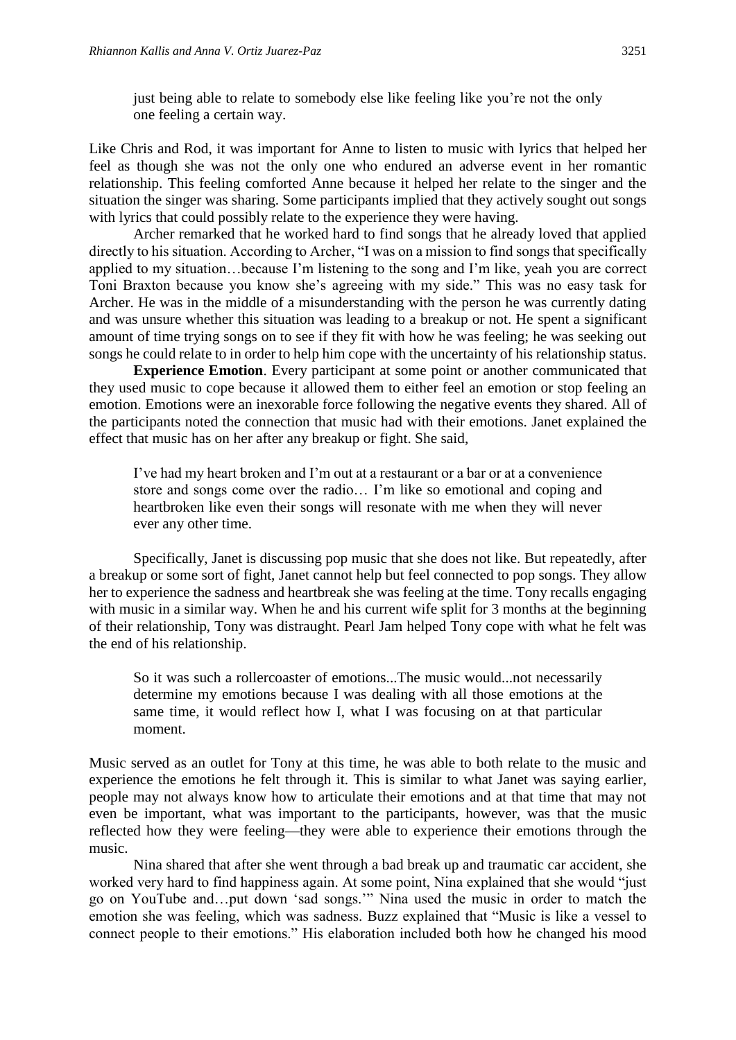just being able to relate to somebody else like feeling like you're not the only one feeling a certain way.

Like Chris and Rod, it was important for Anne to listen to music with lyrics that helped her feel as though she was not the only one who endured an adverse event in her romantic relationship. This feeling comforted Anne because it helped her relate to the singer and the situation the singer was sharing. Some participants implied that they actively sought out songs with lyrics that could possibly relate to the experience they were having.

Archer remarked that he worked hard to find songs that he already loved that applied directly to his situation. According to Archer, "I was on a mission to find songs that specifically applied to my situation…because I'm listening to the song and I'm like, yeah you are correct Toni Braxton because you know she's agreeing with my side." This was no easy task for Archer. He was in the middle of a misunderstanding with the person he was currently dating and was unsure whether this situation was leading to a breakup or not. He spent a significant amount of time trying songs on to see if they fit with how he was feeling; he was seeking out songs he could relate to in order to help him cope with the uncertainty of his relationship status.

**Experience Emotion**. Every participant at some point or another communicated that they used music to cope because it allowed them to either feel an emotion or stop feeling an emotion. Emotions were an inexorable force following the negative events they shared. All of the participants noted the connection that music had with their emotions. Janet explained the effect that music has on her after any breakup or fight. She said,

I've had my heart broken and I'm out at a restaurant or a bar or at a convenience store and songs come over the radio… I'm like so emotional and coping and heartbroken like even their songs will resonate with me when they will never ever any other time.

Specifically, Janet is discussing pop music that she does not like. But repeatedly, after a breakup or some sort of fight, Janet cannot help but feel connected to pop songs. They allow her to experience the sadness and heartbreak she was feeling at the time. Tony recalls engaging with music in a similar way. When he and his current wife split for 3 months at the beginning of their relationship, Tony was distraught. Pearl Jam helped Tony cope with what he felt was the end of his relationship.

So it was such a rollercoaster of emotions...The music would...not necessarily determine my emotions because I was dealing with all those emotions at the same time, it would reflect how I, what I was focusing on at that particular moment.

Music served as an outlet for Tony at this time, he was able to both relate to the music and experience the emotions he felt through it. This is similar to what Janet was saying earlier, people may not always know how to articulate their emotions and at that time that may not even be important, what was important to the participants, however, was that the music reflected how they were feeling—they were able to experience their emotions through the music.

Nina shared that after she went through a bad break up and traumatic car accident, she worked very hard to find happiness again. At some point, Nina explained that she would "just go on YouTube and…put down 'sad songs.'" Nina used the music in order to match the emotion she was feeling, which was sadness. Buzz explained that "Music is like a vessel to connect people to their emotions." His elaboration included both how he changed his mood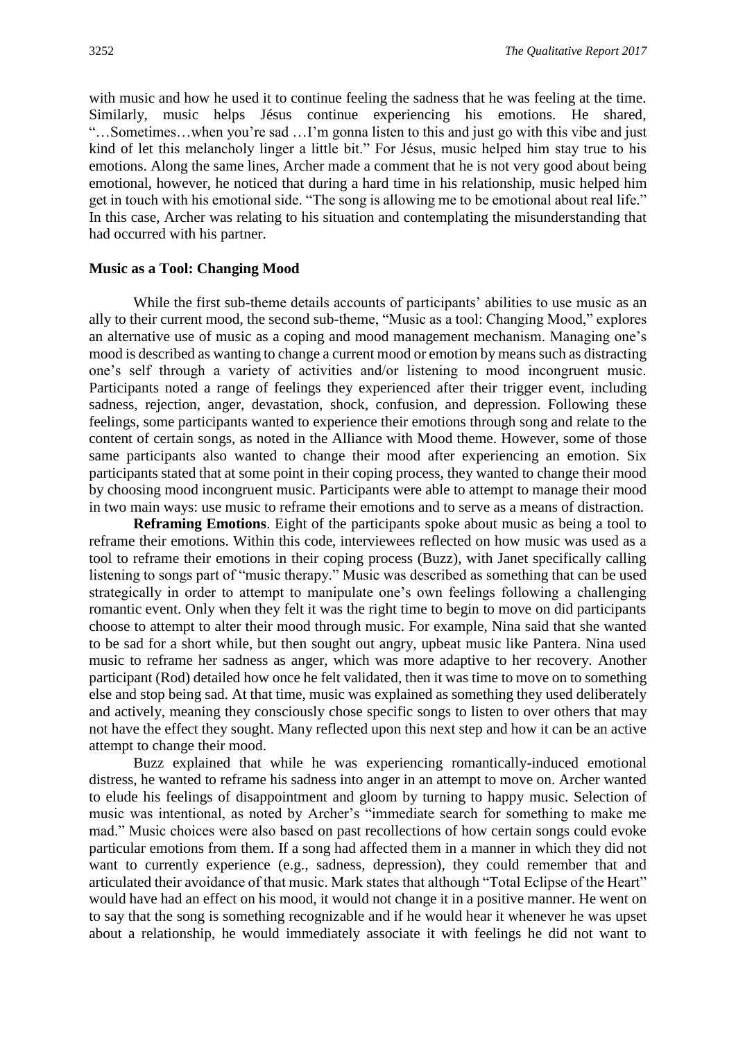with music and how he used it to continue feeling the sadness that he was feeling at the time. Similarly, music helps Jésus continue experiencing his emotions. He shared, "…Sometimes…when you're sad …I'm gonna listen to this and just go with this vibe and just kind of let this melancholy linger a little bit." For Jésus, music helped him stay true to his emotions. Along the same lines, Archer made a comment that he is not very good about being emotional, however, he noticed that during a hard time in his relationship, music helped him get in touch with his emotional side. "The song is allowing me to be emotional about real life." In this case, Archer was relating to his situation and contemplating the misunderstanding that had occurred with his partner.

#### **Music as a Tool: Changing Mood**

While the first sub-theme details accounts of participants' abilities to use music as an ally to their current mood, the second sub-theme, "Music as a tool: Changing Mood," explores an alternative use of music as a coping and mood management mechanism. Managing one's mood is described as wanting to change a current mood or emotion by means such as distracting one's self through a variety of activities and/or listening to mood incongruent music. Participants noted a range of feelings they experienced after their trigger event, including sadness, rejection, anger, devastation, shock, confusion, and depression. Following these feelings, some participants wanted to experience their emotions through song and relate to the content of certain songs, as noted in the Alliance with Mood theme. However, some of those same participants also wanted to change their mood after experiencing an emotion. Six participants stated that at some point in their coping process, they wanted to change their mood by choosing mood incongruent music. Participants were able to attempt to manage their mood in two main ways: use music to reframe their emotions and to serve as a means of distraction.

**Reframing Emotions**. Eight of the participants spoke about music as being a tool to reframe their emotions. Within this code, interviewees reflected on how music was used as a tool to reframe their emotions in their coping process (Buzz), with Janet specifically calling listening to songs part of "music therapy." Music was described as something that can be used strategically in order to attempt to manipulate one's own feelings following a challenging romantic event. Only when they felt it was the right time to begin to move on did participants choose to attempt to alter their mood through music. For example, Nina said that she wanted to be sad for a short while, but then sought out angry, upbeat music like Pantera. Nina used music to reframe her sadness as anger, which was more adaptive to her recovery. Another participant (Rod) detailed how once he felt validated, then it was time to move on to something else and stop being sad. At that time, music was explained as something they used deliberately and actively, meaning they consciously chose specific songs to listen to over others that may not have the effect they sought. Many reflected upon this next step and how it can be an active attempt to change their mood.

Buzz explained that while he was experiencing romantically-induced emotional distress, he wanted to reframe his sadness into anger in an attempt to move on. Archer wanted to elude his feelings of disappointment and gloom by turning to happy music. Selection of music was intentional, as noted by Archer's "immediate search for something to make me mad." Music choices were also based on past recollections of how certain songs could evoke particular emotions from them. If a song had affected them in a manner in which they did not want to currently experience (e.g., sadness, depression), they could remember that and articulated their avoidance of that music. Mark states that although "Total Eclipse of the Heart" would have had an effect on his mood, it would not change it in a positive manner. He went on to say that the song is something recognizable and if he would hear it whenever he was upset about a relationship, he would immediately associate it with feelings he did not want to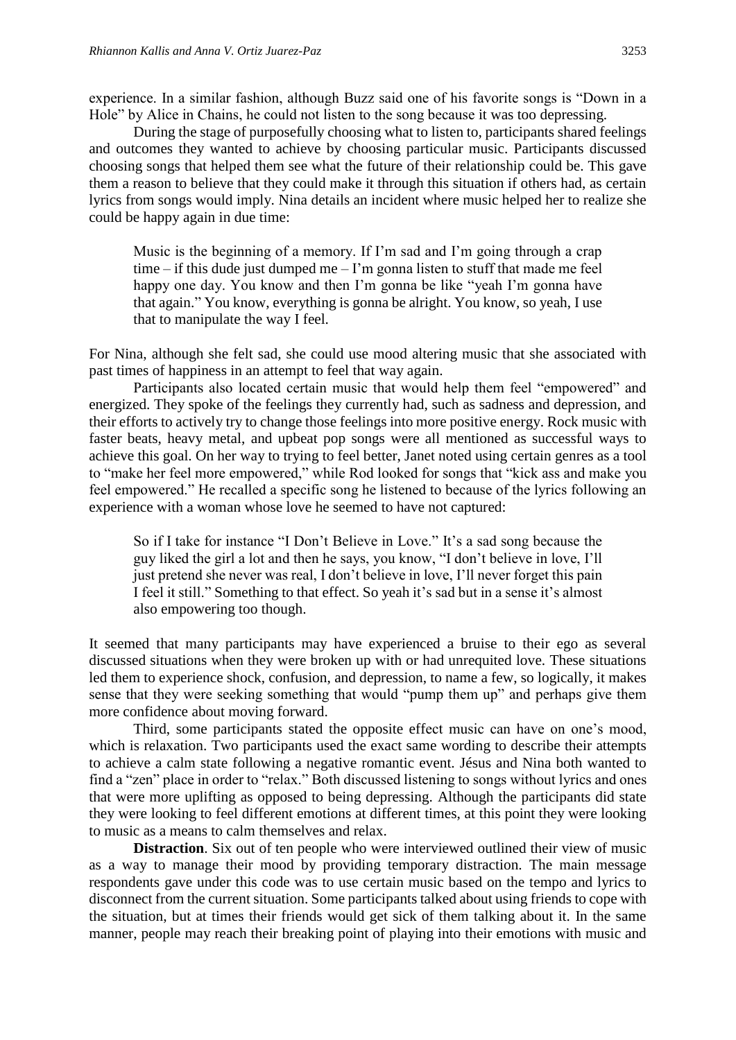experience. In a similar fashion, although Buzz said one of his favorite songs is "Down in a Hole" by Alice in Chains, he could not listen to the song because it was too depressing.

During the stage of purposefully choosing what to listen to, participants shared feelings and outcomes they wanted to achieve by choosing particular music. Participants discussed choosing songs that helped them see what the future of their relationship could be. This gave them a reason to believe that they could make it through this situation if others had, as certain lyrics from songs would imply. Nina details an incident where music helped her to realize she could be happy again in due time:

Music is the beginning of a memory. If I'm sad and I'm going through a crap time – if this dude just dumped me – I'm gonna listen to stuff that made me feel happy one day. You know and then I'm gonna be like "yeah I'm gonna have that again." You know, everything is gonna be alright. You know, so yeah, I use that to manipulate the way I feel.

For Nina, although she felt sad, she could use mood altering music that she associated with past times of happiness in an attempt to feel that way again.

Participants also located certain music that would help them feel "empowered" and energized. They spoke of the feelings they currently had, such as sadness and depression, and their efforts to actively try to change those feelings into more positive energy. Rock music with faster beats, heavy metal, and upbeat pop songs were all mentioned as successful ways to achieve this goal. On her way to trying to feel better, Janet noted using certain genres as a tool to "make her feel more empowered," while Rod looked for songs that "kick ass and make you feel empowered." He recalled a specific song he listened to because of the lyrics following an experience with a woman whose love he seemed to have not captured:

So if I take for instance "I Don't Believe in Love." It's a sad song because the guy liked the girl a lot and then he says, you know, "I don't believe in love, I'll just pretend she never was real, I don't believe in love, I'll never forget this pain I feel it still." Something to that effect. So yeah it's sad but in a sense it's almost also empowering too though.

It seemed that many participants may have experienced a bruise to their ego as several discussed situations when they were broken up with or had unrequited love. These situations led them to experience shock, confusion, and depression, to name a few, so logically, it makes sense that they were seeking something that would "pump them up" and perhaps give them more confidence about moving forward.

Third, some participants stated the opposite effect music can have on one's mood, which is relaxation. Two participants used the exact same wording to describe their attempts to achieve a calm state following a negative romantic event. Jésus and Nina both wanted to find a "zen" place in order to "relax." Both discussed listening to songs without lyrics and ones that were more uplifting as opposed to being depressing. Although the participants did state they were looking to feel different emotions at different times, at this point they were looking to music as a means to calm themselves and relax.

**Distraction**. Six out of ten people who were interviewed outlined their view of music as a way to manage their mood by providing temporary distraction. The main message respondents gave under this code was to use certain music based on the tempo and lyrics to disconnect from the current situation. Some participants talked about using friends to cope with the situation, but at times their friends would get sick of them talking about it. In the same manner, people may reach their breaking point of playing into their emotions with music and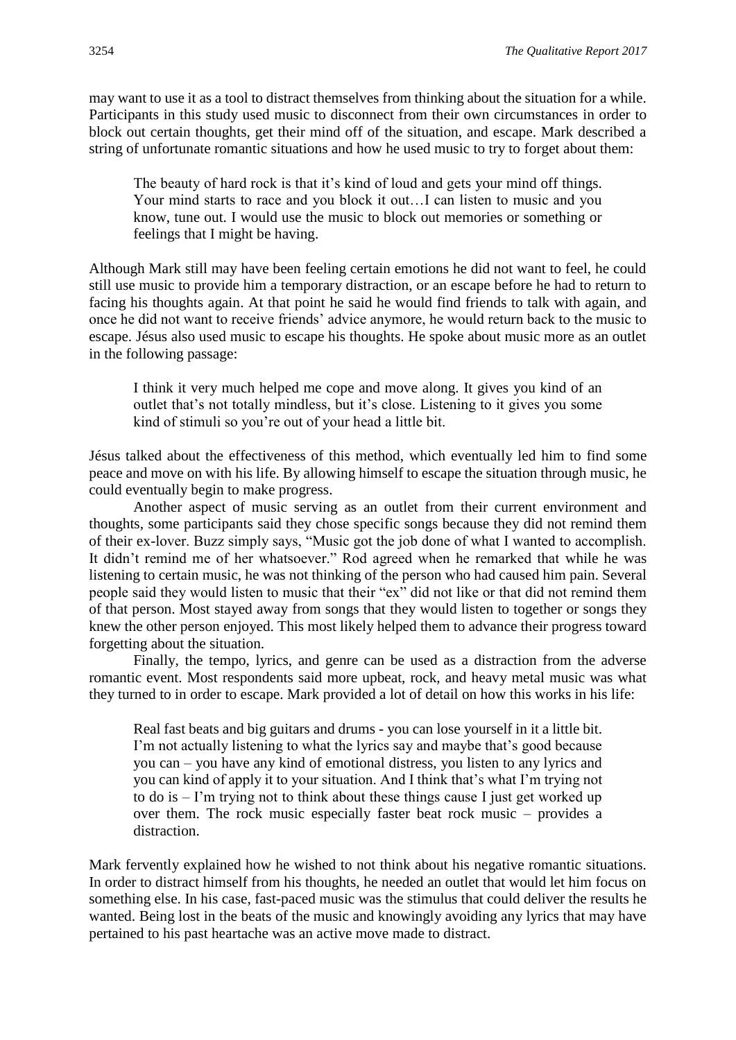may want to use it as a tool to distract themselves from thinking about the situation for a while. Participants in this study used music to disconnect from their own circumstances in order to block out certain thoughts, get their mind off of the situation, and escape. Mark described a string of unfortunate romantic situations and how he used music to try to forget about them:

The beauty of hard rock is that it's kind of loud and gets your mind off things. Your mind starts to race and you block it out…I can listen to music and you know, tune out. I would use the music to block out memories or something or feelings that I might be having.

Although Mark still may have been feeling certain emotions he did not want to feel, he could still use music to provide him a temporary distraction, or an escape before he had to return to facing his thoughts again. At that point he said he would find friends to talk with again, and once he did not want to receive friends' advice anymore, he would return back to the music to escape. Jésus also used music to escape his thoughts. He spoke about music more as an outlet in the following passage:

I think it very much helped me cope and move along. It gives you kind of an outlet that's not totally mindless, but it's close. Listening to it gives you some kind of stimuli so you're out of your head a little bit.

Jésus talked about the effectiveness of this method, which eventually led him to find some peace and move on with his life. By allowing himself to escape the situation through music, he could eventually begin to make progress.

Another aspect of music serving as an outlet from their current environment and thoughts, some participants said they chose specific songs because they did not remind them of their ex-lover. Buzz simply says, "Music got the job done of what I wanted to accomplish. It didn't remind me of her whatsoever." Rod agreed when he remarked that while he was listening to certain music, he was not thinking of the person who had caused him pain. Several people said they would listen to music that their "ex" did not like or that did not remind them of that person. Most stayed away from songs that they would listen to together or songs they knew the other person enjoyed. This most likely helped them to advance their progress toward forgetting about the situation.

Finally, the tempo, lyrics, and genre can be used as a distraction from the adverse romantic event. Most respondents said more upbeat, rock, and heavy metal music was what they turned to in order to escape. Mark provided a lot of detail on how this works in his life:

Real fast beats and big guitars and drums - you can lose yourself in it a little bit. I'm not actually listening to what the lyrics say and maybe that's good because you can – you have any kind of emotional distress, you listen to any lyrics and you can kind of apply it to your situation. And I think that's what I'm trying not to do is – I'm trying not to think about these things cause I just get worked up over them. The rock music especially faster beat rock music – provides a distraction.

Mark fervently explained how he wished to not think about his negative romantic situations. In order to distract himself from his thoughts, he needed an outlet that would let him focus on something else. In his case, fast-paced music was the stimulus that could deliver the results he wanted. Being lost in the beats of the music and knowingly avoiding any lyrics that may have pertained to his past heartache was an active move made to distract.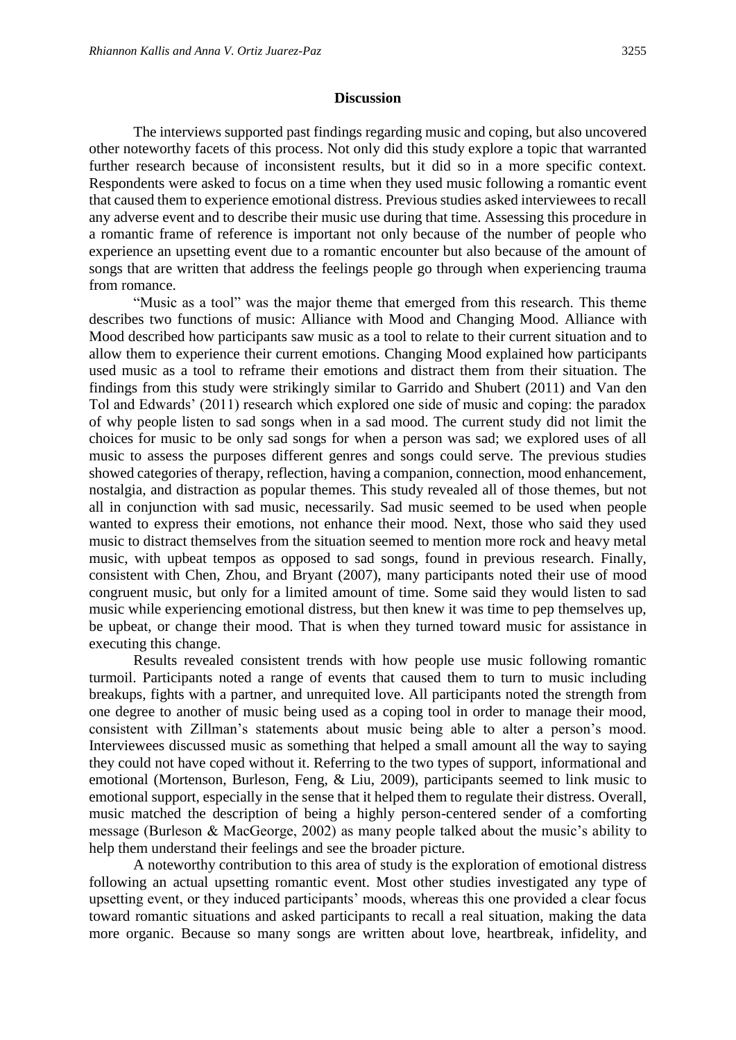The interviews supported past findings regarding music and coping, but also uncovered other noteworthy facets of this process. Not only did this study explore a topic that warranted further research because of inconsistent results, but it did so in a more specific context. Respondents were asked to focus on a time when they used music following a romantic event that caused them to experience emotional distress. Previous studies asked interviewees to recall any adverse event and to describe their music use during that time. Assessing this procedure in a romantic frame of reference is important not only because of the number of people who experience an upsetting event due to a romantic encounter but also because of the amount of songs that are written that address the feelings people go through when experiencing trauma from romance.

"Music as a tool" was the major theme that emerged from this research. This theme describes two functions of music: Alliance with Mood and Changing Mood. Alliance with Mood described how participants saw music as a tool to relate to their current situation and to allow them to experience their current emotions. Changing Mood explained how participants used music as a tool to reframe their emotions and distract them from their situation. The findings from this study were strikingly similar to Garrido and Shubert (2011) and Van den Tol and Edwards' (2011) research which explored one side of music and coping: the paradox of why people listen to sad songs when in a sad mood. The current study did not limit the choices for music to be only sad songs for when a person was sad; we explored uses of all music to assess the purposes different genres and songs could serve. The previous studies showed categories of therapy, reflection, having a companion, connection, mood enhancement, nostalgia, and distraction as popular themes. This study revealed all of those themes, but not all in conjunction with sad music, necessarily. Sad music seemed to be used when people wanted to express their emotions, not enhance their mood. Next, those who said they used music to distract themselves from the situation seemed to mention more rock and heavy metal music, with upbeat tempos as opposed to sad songs, found in previous research. Finally, consistent with Chen, Zhou, and Bryant (2007), many participants noted their use of mood congruent music, but only for a limited amount of time. Some said they would listen to sad music while experiencing emotional distress, but then knew it was time to pep themselves up, be upbeat, or change their mood. That is when they turned toward music for assistance in executing this change.

Results revealed consistent trends with how people use music following romantic turmoil. Participants noted a range of events that caused them to turn to music including breakups, fights with a partner, and unrequited love. All participants noted the strength from one degree to another of music being used as a coping tool in order to manage their mood, consistent with Zillman's statements about music being able to alter a person's mood. Interviewees discussed music as something that helped a small amount all the way to saying they could not have coped without it. Referring to the two types of support, informational and emotional (Mortenson, Burleson, Feng, & Liu, 2009), participants seemed to link music to emotional support, especially in the sense that it helped them to regulate their distress. Overall, music matched the description of being a highly person-centered sender of a comforting message (Burleson & MacGeorge, 2002) as many people talked about the music's ability to help them understand their feelings and see the broader picture.

A noteworthy contribution to this area of study is the exploration of emotional distress following an actual upsetting romantic event. Most other studies investigated any type of upsetting event, or they induced participants' moods, whereas this one provided a clear focus toward romantic situations and asked participants to recall a real situation, making the data more organic. Because so many songs are written about love, heartbreak, infidelity, and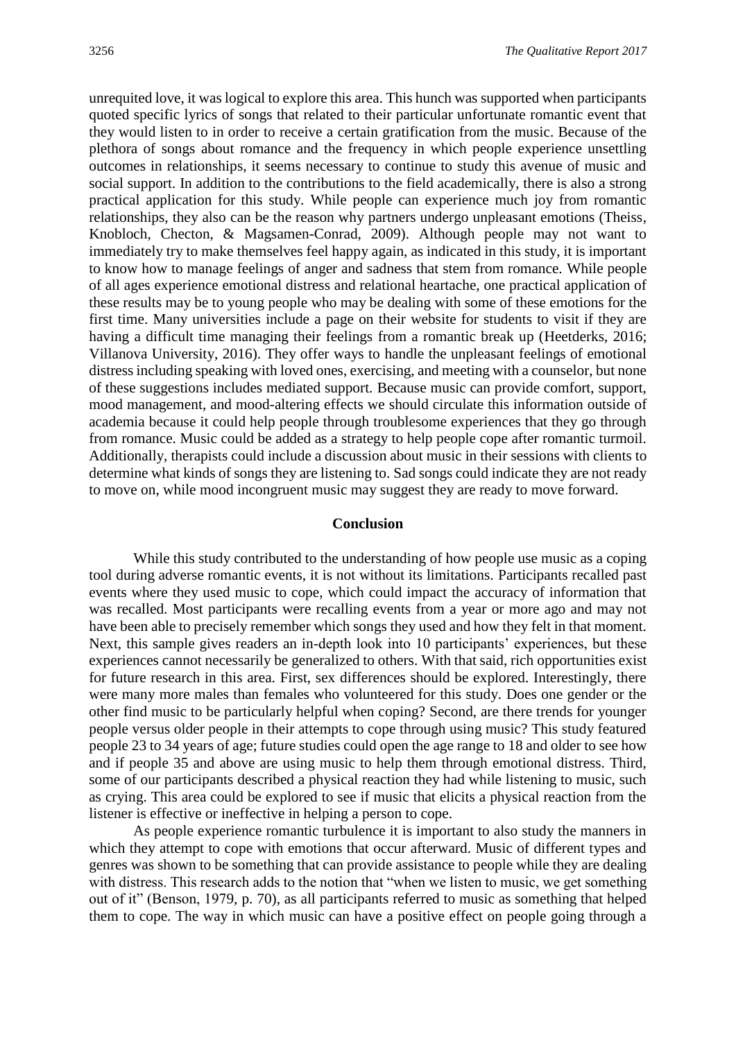unrequited love, it was logical to explore this area. This hunch was supported when participants quoted specific lyrics of songs that related to their particular unfortunate romantic event that they would listen to in order to receive a certain gratification from the music. Because of the plethora of songs about romance and the frequency in which people experience unsettling outcomes in relationships, it seems necessary to continue to study this avenue of music and social support. In addition to the contributions to the field academically, there is also a strong practical application for this study. While people can experience much joy from romantic relationships, they also can be the reason why partners undergo unpleasant emotions (Theiss, Knobloch, Checton, & Magsamen-Conrad, 2009). Although people may not want to immediately try to make themselves feel happy again, as indicated in this study, it is important to know how to manage feelings of anger and sadness that stem from romance. While people of all ages experience emotional distress and relational heartache, one practical application of these results may be to young people who may be dealing with some of these emotions for the first time. Many universities include a page on their website for students to visit if they are having a difficult time managing their feelings from a romantic break up (Heetderks, 2016; Villanova University, 2016). They offer ways to handle the unpleasant feelings of emotional distress including speaking with loved ones, exercising, and meeting with a counselor, but none of these suggestions includes mediated support. Because music can provide comfort, support, mood management, and mood-altering effects we should circulate this information outside of academia because it could help people through troublesome experiences that they go through from romance. Music could be added as a strategy to help people cope after romantic turmoil. Additionally, therapists could include a discussion about music in their sessions with clients to determine what kinds of songs they are listening to. Sad songs could indicate they are not ready to move on, while mood incongruent music may suggest they are ready to move forward.

#### **Conclusion**

While this study contributed to the understanding of how people use music as a coping tool during adverse romantic events, it is not without its limitations. Participants recalled past events where they used music to cope, which could impact the accuracy of information that was recalled. Most participants were recalling events from a year or more ago and may not have been able to precisely remember which songs they used and how they felt in that moment. Next, this sample gives readers an in-depth look into 10 participants' experiences, but these experiences cannot necessarily be generalized to others. With that said, rich opportunities exist for future research in this area. First, sex differences should be explored. Interestingly, there were many more males than females who volunteered for this study. Does one gender or the other find music to be particularly helpful when coping? Second, are there trends for younger people versus older people in their attempts to cope through using music? This study featured people 23 to 34 years of age; future studies could open the age range to 18 and older to see how and if people 35 and above are using music to help them through emotional distress. Third, some of our participants described a physical reaction they had while listening to music, such as crying. This area could be explored to see if music that elicits a physical reaction from the listener is effective or ineffective in helping a person to cope.

As people experience romantic turbulence it is important to also study the manners in which they attempt to cope with emotions that occur afterward. Music of different types and genres was shown to be something that can provide assistance to people while they are dealing with distress. This research adds to the notion that "when we listen to music, we get something out of it" (Benson, 1979, p. 70), as all participants referred to music as something that helped them to cope. The way in which music can have a positive effect on people going through a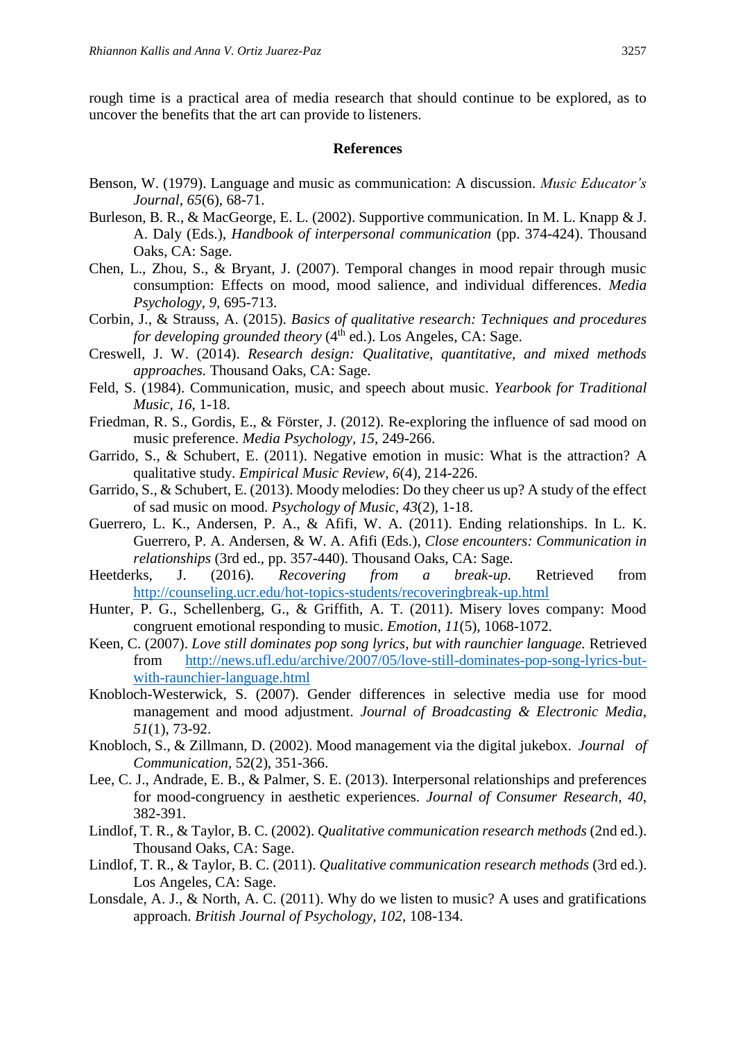rough time is a practical area of media research that should continue to be explored, as to uncover the benefits that the art can provide to listeners.

#### **References**

- Benson, W. (1979). Language and music as communication: A discussion. *Music Educator's Journal, 65*(6), 68-71.
- Burleson, B. R., & MacGeorge, E. L. (2002). Supportive communication. In M. L. Knapp & J. A. Daly (Eds.), *Handbook of interpersonal communication* (pp. 374-424). Thousand Oaks, CA: Sage.
- Chen, L., Zhou, S., & Bryant, J. (2007). Temporal changes in mood repair through music consumption: Effects on mood, mood salience, and individual differences. *Media Psychology, 9*, 695-713.
- Corbin, J., & Strauss, A. (2015). *Basics of qualitative research: Techniques and procedures for developing grounded theory* (4<sup>th</sup> ed.). Los Angeles, CA: Sage.
- Creswell, J. W. (2014). *Research design: Qualitative, quantitative, and mixed methods approaches.* Thousand Oaks, CA: Sage.
- Feld, S. (1984). Communication, music, and speech about music. *Yearbook for Traditional Music, 16*, 1-18.
- Friedman, R. S., Gordis, E., & Förster, J. (2012). Re-exploring the influence of sad mood on music preference. *Media Psychology, 15*, 249-266.
- Garrido, S., & Schubert, E. (2011). Negative emotion in music: What is the attraction? A qualitative study. *Empirical Music Review, 6*(4), 214-226.
- Garrido, S., & Schubert, E. (2013). Moody melodies: Do they cheer us up? A study of the effect of sad music on mood. *Psychology of Music, 43*(2)*,* 1-18.
- Guerrero, L. K., Andersen, P. A., & Afifi, W. A. (2011). Ending relationships. In L. K. Guerrero, P. A. Andersen, & W. A. Afifi (Eds.), *Close encounters: Communication in relationships* (3rd ed., pp. 357-440). Thousand Oaks, CA: Sage.
- Heetderks, J. (2016). *Recovering from a break-up.* Retrieved from <http://counseling.ucr.edu/hot-topics-students/recoveringbreak-up.html>
- Hunter, P. G., Schellenberg, G., & Griffith, A. T. (2011). Misery loves company: Mood congruent emotional responding to music. *Emotion, 11*(5), 1068-1072.
- Keen, C. (2007). *Love still dominates pop song lyrics, but with raunchier language.* Retrieved from [http://news.ufl.edu/archive/2007/05/love-still-dominates-pop-song-lyrics-but](http://news.ufl.edu/archive/2007/05/love-still-dominates-pop-song-lyrics-but-with-raunchier-language.html)[with-raunchier-language.html](http://news.ufl.edu/archive/2007/05/love-still-dominates-pop-song-lyrics-but-with-raunchier-language.html)
- Knobloch-Westerwick, S. (2007). Gender differences in selective media use for mood management and mood adjustment. *Journal of Broadcasting & Electronic Media, 51*(1), 73-92.
- Knobloch, S., & Zillmann, D. (2002). Mood management via the digital jukebox. *Journal of Communication,* 52(2), 351-366.
- Lee, C. J., Andrade, E. B., & Palmer, S. E. (2013). Interpersonal relationships and preferences for mood-congruency in aesthetic experiences. *Journal of Consumer Research, 40*, 382-391*.*
- Lindlof, T. R., & Taylor, B. C. (2002). *Qualitative communication research methods* (2nd ed.). Thousand Oaks, CA: Sage.
- Lindlof, T. R., & Taylor, B. C. (2011). *Qualitative communication research methods* (3rd ed.). Los Angeles, CA: Sage.
- Lonsdale, A. J., & North, A. C. (2011). Why do we listen to music? A uses and gratifications approach. *British Journal of Psychology, 102*, 108-134.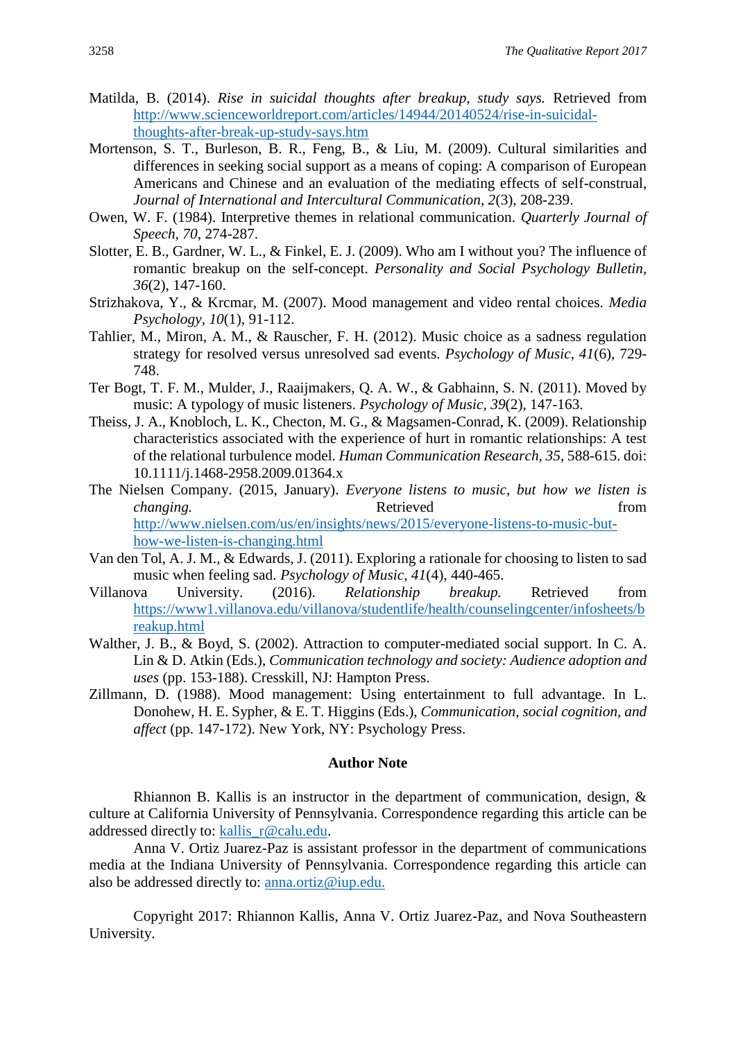- Matilda, B. (2014). *Rise in suicidal thoughts after breakup, study says.* Retrieved from [http://www.scienceworldreport.com/articles/14944/20140524/rise-in-suicidal](http://www.scienceworldreport.com/articles/14944/20140524/rise-in-suicidal-thoughts-after-break-up-study-says.htm)[thoughts-after-break-up-study-says.htm](http://www.scienceworldreport.com/articles/14944/20140524/rise-in-suicidal-thoughts-after-break-up-study-says.htm)
- Mortenson, S. T., Burleson, B. R., Feng, B., & Liu, M. (2009). Cultural similarities and differences in seeking social support as a means of coping: A comparison of European Americans and Chinese and an evaluation of the mediating effects of self-construal, *Journal of International and Intercultural Communication, 2*(3), 208-239.
- Owen, W. F. (1984). Interpretive themes in relational communication. *Quarterly Journal of Speech, 70*, 274-287.
- Slotter, E. B., Gardner, W. L., & Finkel, E. J. (2009). Who am I without you? The influence of romantic breakup on the self-concept. *Personality and Social Psychology Bulletin, 36*(2), 147-160.
- Strizhakova, Y., & Krcmar, M. (2007). Mood management and video rental choices. *Media Psychology, 10*(1), 91-112.
- Tahlier, M., Miron, A. M., & Rauscher, F. H. (2012). Music choice as a sadness regulation strategy for resolved versus unresolved sad events. *Psychology of Music, 41*(6), 729- 748.
- Ter Bogt, T. F. M., Mulder, J., Raaijmakers, Q. A. W., & Gabhainn, S. N. (2011). Moved by music: A typology of music listeners. *Psychology of Music, 39*(2), 147-163.
- Theiss, J. A., Knobloch, L. K., Checton, M. G., & Magsamen-Conrad, K. (2009). Relationship characteristics associated with the experience of hurt in romantic relationships: A test of the relational turbulence model. *Human Communication Research, 35*, 588-615. doi: 10.1111/j.1468-2958.2009.01364.x
- The Nielsen Company. (2015, January). *Everyone listens to music, but how we listen is changing.* The changing changing changing changing  $\mathbb{R}$  etrieved from  $\mathbb{R}$ [http://www.nielsen.com/us/en/insights/news/2015/everyone-listens-to-music-but](http://www.nielsen.com/us/en/insights/news/2015/everyone-listens-to-music-but-how-we-listen-is-changing.html)[how-we-listen-is-changing.html](http://www.nielsen.com/us/en/insights/news/2015/everyone-listens-to-music-but-how-we-listen-is-changing.html)
- Van den Tol, A. J. M., & Edwards, J. (2011). Exploring a rationale for choosing to listen to sad music when feeling sad. *Psychology of Music, 41*(4), 440-465.
- Villanova University. (2016). *Relationship breakup.* Retrieved from [https://www1.villanova.edu/villanova/studentlife/health/counselingcenter/infosheets/b](https://www1.villanova.edu/villanova/studentlife/health/counselingcenter/infosheets/breakup.html) [reakup.html](https://www1.villanova.edu/villanova/studentlife/health/counselingcenter/infosheets/breakup.html)
- Walther, J. B., & Boyd, S. (2002). Attraction to computer-mediated social support. In C. A. Lin & D. Atkin (Eds.), *Communication technology and society: Audience adoption and uses* (pp. 153-188). Cresskill, NJ: Hampton Press.
- Zillmann, D. (1988). Mood management: Using entertainment to full advantage. In L. Donohew, H. E. Sypher, & E. T. Higgins (Eds.), *Communication, social cognition, and affect* (pp. 147-172). New York, NY: Psychology Press.

#### **Author Note**

Rhiannon B. Kallis is an instructor in the department of communication, design,  $\&$ culture at California University of Pennsylvania. Correspondence regarding this article can be addressed directly to: [kallis\\_r@calu.edu.](mailto:kallis_r@calu.edu)

Anna V. Ortiz Juarez-Paz is assistant professor in the department of communications media at the Indiana University of Pennsylvania. Correspondence regarding this article can also be addressed directly to: [anna.ortiz@iup.edu.](mailto:anna.ortiz@iup.edu)

Copyright 2017: Rhiannon Kallis, Anna V. Ortiz Juarez-Paz, and Nova Southeastern University.